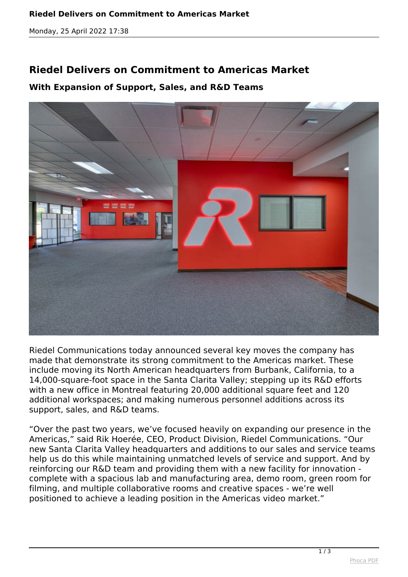*Monday, 25 April 2022 17:38*

## **Riedel Delivers on Commitment to Americas Market**

## **With Expansion of Support, Sales, and R&D Teams**



*Riedel Communications today announced several key moves the company has made that demonstrate its strong commitment to the Americas market. These include moving its North American headquarters from Burbank, California, to a 14,000-square-foot space in the Santa Clarita Valley; stepping up its R&D efforts with a new office in Montreal featuring 20,000 additional square feet and 120 additional workspaces; and making numerous personnel additions across its support, sales, and R&D teams.*

*"Over the past two years, we've focused heavily on expanding our presence in the Americas," said Rik Hoerée, CEO, Product Division, Riedel Communications. "Our new Santa Clarita Valley headquarters and additions to our sales and service teams help us do this while maintaining unmatched levels of service and support. And by reinforcing our R&D team and providing them with a new facility for innovation complete with a spacious lab and manufacturing area, demo room, green room for filming, and multiple collaborative rooms and creative spaces - we're well positioned to achieve a leading position in the Americas video market."*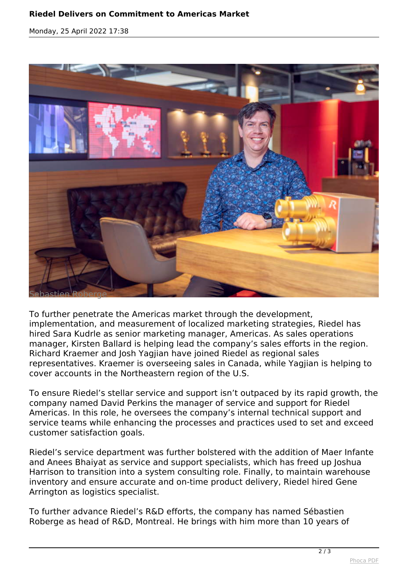## **Riedel Delivers on Commitment to Americas Market**

*Monday, 25 April 2022 17:38*



*To further penetrate the Americas market through the development, implementation, and measurement of localized marketing strategies, Riedel has hired Sara Kudrle as senior marketing manager, Americas. As sales operations manager, Kirsten Ballard is helping lead the company's sales efforts in the region. Richard Kraemer and Josh Yagjian have joined Riedel as regional sales representatives. Kraemer is overseeing sales in Canada, while Yagjian is helping to cover accounts in the Northeastern region of the U.S.*

*To ensure Riedel's stellar service and support isn't outpaced by its rapid growth, the company named David Perkins the manager of service and support for Riedel Americas. In this role, he oversees the company's internal technical support and service teams while enhancing the processes and practices used to set and exceed customer satisfaction goals.*

*Riedel's service department was further bolstered with the addition of Maer Infante and Anees Bhaiyat as service and support specialists, which has freed up Joshua Harrison to transition into a system consulting role. Finally, to maintain warehouse inventory and ensure accurate and on-time product delivery, Riedel hired Gene Arrington as logistics specialist.*

*To further advance Riedel's R&D efforts, the company has named Sébastien Roberge as head of R&D, Montreal. He brings with him more than 10 years of*